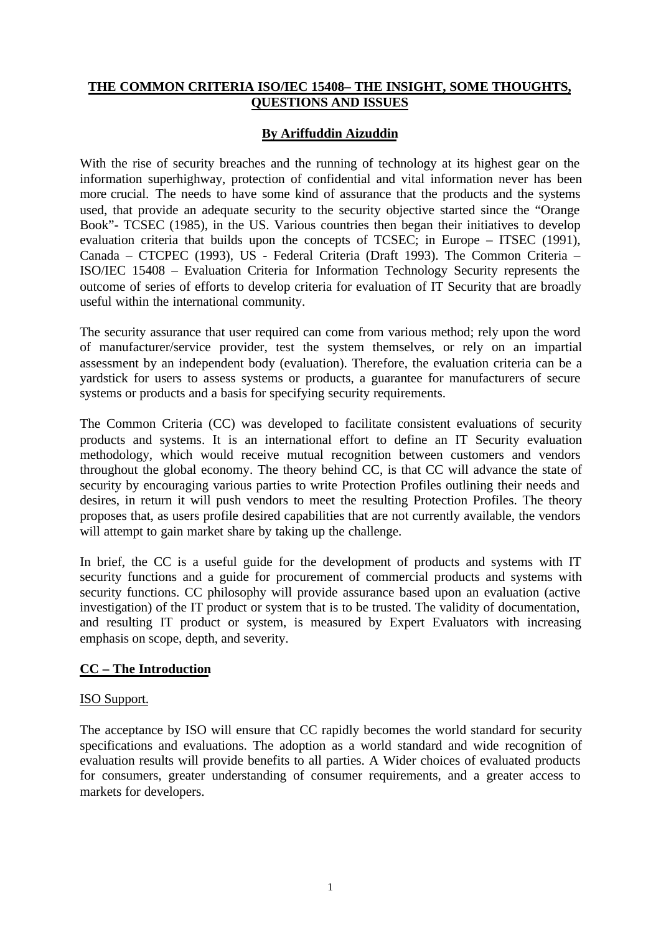# **THE COMMON CRITERIA ISO/IEC 15408– THE INSIGHT, SOME THOUGHTS, QUESTIONS AND ISSUES**

# **By Ariffuddin Aizuddin**

With the rise of security breaches and the running of technology at its highest gear on the information superhighway, protection of confidential and vital information never has been more crucial. The needs to have some kind of assurance that the products and the systems used, that provide an adequate security to the security objective started since the "Orange Book"- TCSEC (1985), in the US. Various countries then began their initiatives to develop evaluation criteria that builds upon the concepts of TCSEC; in Europe – ITSEC (1991), Canada – CTCPEC (1993), US - Federal Criteria (Draft 1993). The Common Criteria – ISO/IEC 15408 – Evaluation Criteria for Information Technology Security represents the outcome of series of efforts to develop criteria for evaluation of IT Security that are broadly useful within the international community.

The security assurance that user required can come from various method; rely upon the word of manufacturer/service provider, test the system themselves, or rely on an impartial assessment by an independent body (evaluation). Therefore, the evaluation criteria can be a yardstick for users to assess systems or products, a guarantee for manufacturers of secure systems or products and a basis for specifying security requirements.

The Common Criteria (CC) was developed to facilitate consistent evaluations of security products and systems. It is an international effort to define an IT Security evaluation methodology, which would receive mutual recognition between customers and vendors throughout the global economy. The theory behind CC, is that CC will advance the state of security by encouraging various parties to write Protection Profiles outlining their needs and desires, in return it will push vendors to meet the resulting Protection Profiles. The theory proposes that, as users profile desired capabilities that are not currently available, the vendors will attempt to gain market share by taking up the challenge.

In brief, the CC is a useful guide for the development of products and systems with IT security functions and a guide for procurement of commercial products and systems with security functions. CC philosophy will provide assurance based upon an evaluation (active investigation) of the IT product or system that is to be trusted. The validity of documentation, and resulting IT product or system, is measured by Expert Evaluators with increasing emphasis on scope, depth, and severity.

# **CC – The Introduction**

## ISO Support.

The acceptance by ISO will ensure that CC rapidly becomes the world standard for security specifications and evaluations. The adoption as a world standard and wide recognition of evaluation results will provide benefits to all parties. A Wider choices of evaluated products for consumers, greater understanding of consumer requirements, and a greater access to markets for developers.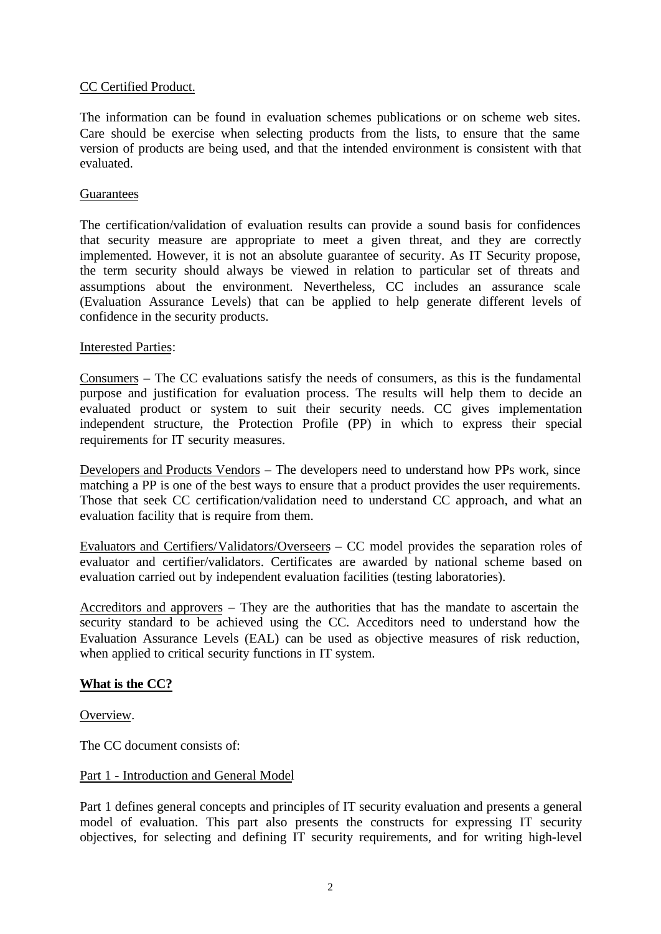## CC Certified Product.

The information can be found in evaluation schemes publications or on scheme web sites. Care should be exercise when selecting products from the lists, to ensure that the same version of products are being used, and that the intended environment is consistent with that evaluated.

## **Guarantees**

The certification/validation of evaluation results can provide a sound basis for confidences that security measure are appropriate to meet a given threat, and they are correctly implemented. However, it is not an absolute guarantee of security. As IT Security propose, the term security should always be viewed in relation to particular set of threats and assumptions about the environment. Nevertheless, CC includes an assurance scale (Evaluation Assurance Levels) that can be applied to help generate different levels of confidence in the security products.

## Interested Parties:

Consumers – The CC evaluations satisfy the needs of consumers, as this is the fundamental purpose and justification for evaluation process. The results will help them to decide an evaluated product or system to suit their security needs. CC gives implementation independent structure, the Protection Profile (PP) in which to express their special requirements for IT security measures.

Developers and Products Vendors – The developers need to understand how PPs work, since matching a PP is one of the best ways to ensure that a product provides the user requirements. Those that seek CC certification/validation need to understand CC approach, and what an evaluation facility that is require from them.

Evaluators and Certifiers/Validators/Overseers – CC model provides the separation roles of evaluator and certifier/validators. Certificates are awarded by national scheme based on evaluation carried out by independent evaluation facilities (testing laboratories).

Accreditors and approvers – They are the authorities that has the mandate to ascertain the security standard to be achieved using the CC. Acceditors need to understand how the Evaluation Assurance Levels (EAL) can be used as objective measures of risk reduction, when applied to critical security functions in IT system.

## **What is the CC?**

Overview.

The CC document consists of:

## Part 1 - Introduction and General Model

Part 1 defines general concepts and principles of IT security evaluation and presents a general model of evaluation. This part also presents the constructs for expressing IT security objectives, for selecting and defining IT security requirements, and for writing high-level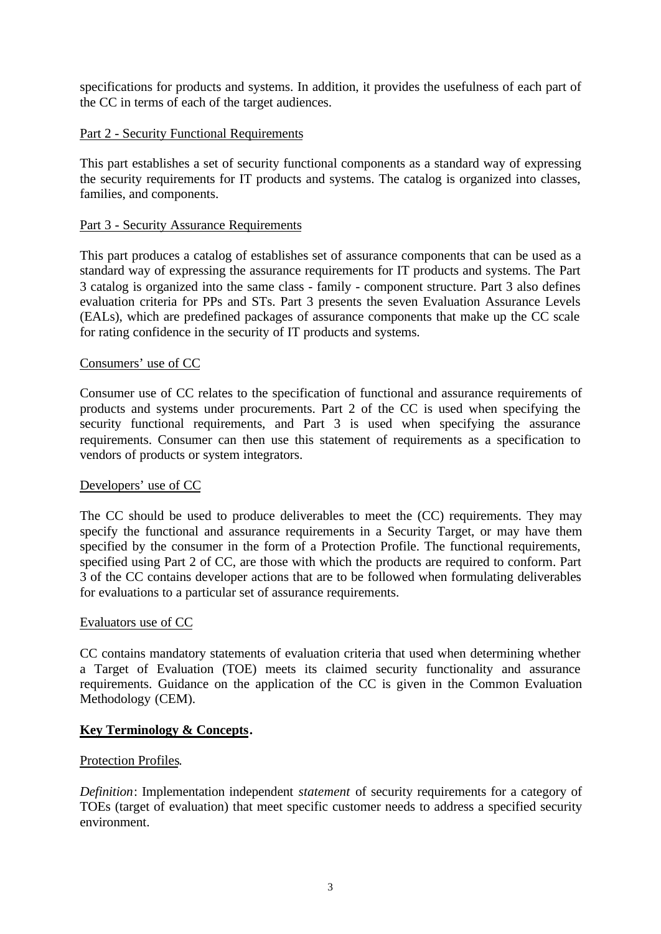specifications for products and systems. In addition, it provides the usefulness of each part of the CC in terms of each of the target audiences.

## Part 2 - Security Functional Requirements

This part establishes a set of security functional components as a standard way of expressing the security requirements for IT products and systems. The catalog is organized into classes, families, and components.

## Part 3 - Security Assurance Requirements

This part produces a catalog of establishes set of assurance components that can be used as a standard way of expressing the assurance requirements for IT products and systems. The Part 3 catalog is organized into the same class - family - component structure. Part 3 also defines evaluation criteria for PPs and STs. Part 3 presents the seven Evaluation Assurance Levels (EALs), which are predefined packages of assurance components that make up the CC scale for rating confidence in the security of IT products and systems.

## Consumers' use of CC

Consumer use of CC relates to the specification of functional and assurance requirements of products and systems under procurements. Part 2 of the CC is used when specifying the security functional requirements, and Part 3 is used when specifying the assurance requirements. Consumer can then use this statement of requirements as a specification to vendors of products or system integrators.

## Developers' use of CC

The CC should be used to produce deliverables to meet the (CC) requirements. They may specify the functional and assurance requirements in a Security Target, or may have them specified by the consumer in the form of a Protection Profile. The functional requirements, specified using Part 2 of CC, are those with which the products are required to conform. Part 3 of the CC contains developer actions that are to be followed when formulating deliverables for evaluations to a particular set of assurance requirements.

## Evaluators use of CC

CC contains mandatory statements of evaluation criteria that used when determining whether a Target of Evaluation (TOE) meets its claimed security functionality and assurance requirements. Guidance on the application of the CC is given in the Common Evaluation Methodology (CEM).

## **Key Terminology & Concepts.**

## Protection Profiles.

*Definition*: Implementation independent *statement* of security requirements for a category of TOEs (target of evaluation) that meet specific customer needs to address a specified security environment.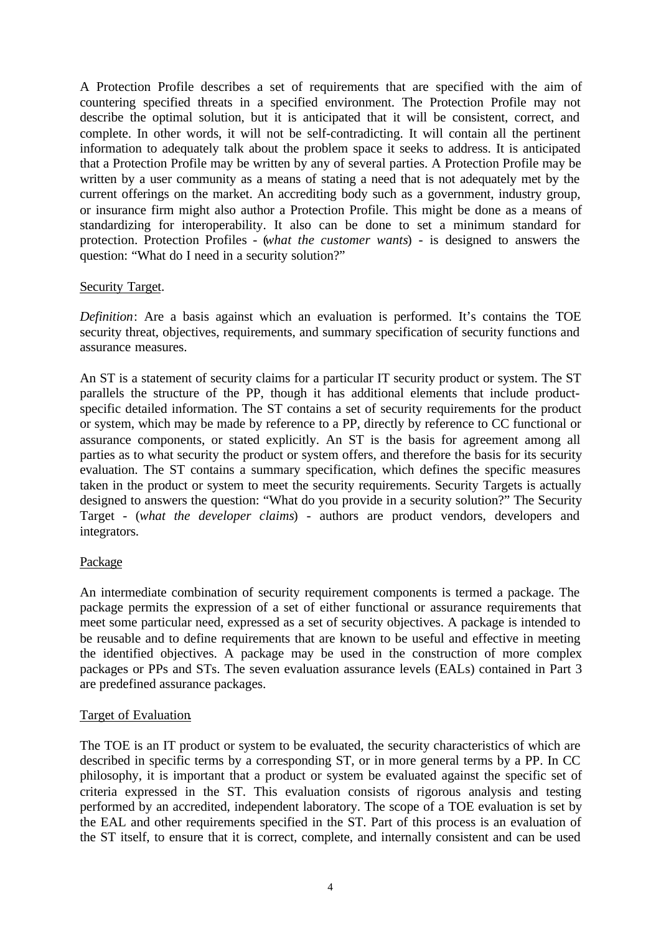A Protection Profile describes a set of requirements that are specified with the aim of countering specified threats in a specified environment. The Protection Profile may not describe the optimal solution, but it is anticipated that it will be consistent, correct, and complete. In other words, it will not be self-contradicting. It will contain all the pertinent information to adequately talk about the problem space it seeks to address. It is anticipated that a Protection Profile may be written by any of several parties. A Protection Profile may be written by a user community as a means of stating a need that is not adequately met by the current offerings on the market. An accrediting body such as a government, industry group, or insurance firm might also author a Protection Profile. This might be done as a means of standardizing for interoperability. It also can be done to set a minimum standard for protection. Protection Profiles - (*what the customer wants*) - is designed to answers the question: "What do I need in a security solution?"

## Security Target.

*Definition*: Are a basis against which an evaluation is performed. It's contains the TOE security threat, objectives, requirements, and summary specification of security functions and assurance measures.

An ST is a statement of security claims for a particular IT security product or system. The ST parallels the structure of the PP, though it has additional elements that include productspecific detailed information. The ST contains a set of security requirements for the product or system, which may be made by reference to a PP, directly by reference to CC functional or assurance components, or stated explicitly. An ST is the basis for agreement among all parties as to what security the product or system offers, and therefore the basis for its security evaluation. The ST contains a summary specification, which defines the specific measures taken in the product or system to meet the security requirements. Security Targets is actually designed to answers the question: "What do you provide in a security solution?" The Security Target - (*what the developer claims*) - authors are product vendors, developers and integrators.

## Package

An intermediate combination of security requirement components is termed a package. The package permits the expression of a set of either functional or assurance requirements that meet some particular need, expressed as a set of security objectives. A package is intended to be reusable and to define requirements that are known to be useful and effective in meeting the identified objectives. A package may be used in the construction of more complex packages or PPs and STs. The seven evaluation assurance levels (EALs) contained in Part 3 are predefined assurance packages.

## Target of Evaluation*.*

The TOE is an IT product or system to be evaluated, the security characteristics of which are described in specific terms by a corresponding ST, or in more general terms by a PP. In CC philosophy, it is important that a product or system be evaluated against the specific set of criteria expressed in the ST. This evaluation consists of rigorous analysis and testing performed by an accredited, independent laboratory. The scope of a TOE evaluation is set by the EAL and other requirements specified in the ST. Part of this process is an evaluation of the ST itself, to ensure that it is correct, complete, and internally consistent and can be used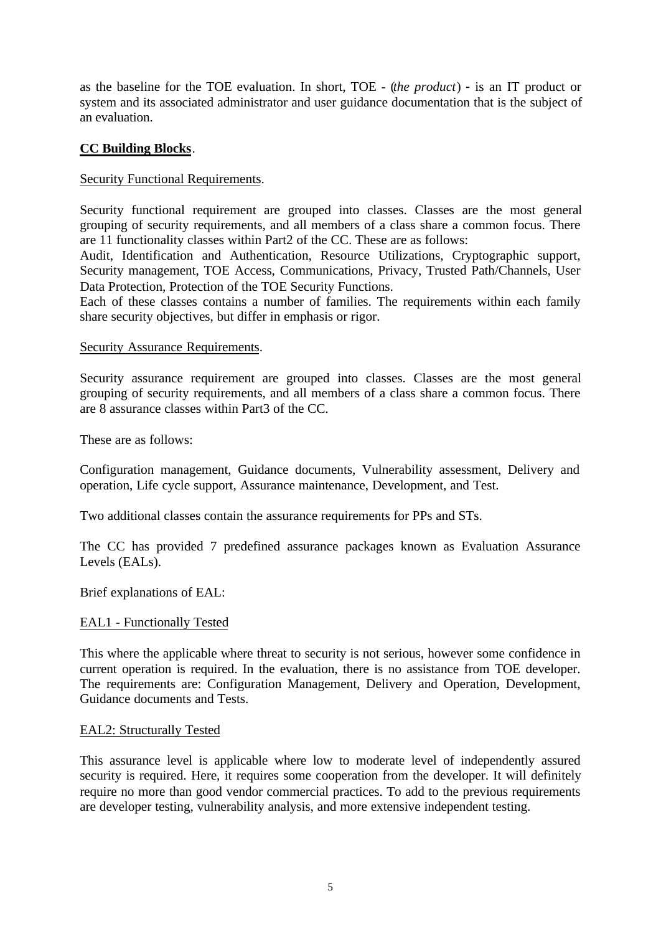as the baseline for the TOE evaluation. In short, TOE - (*the product*) - is an IT product or system and its associated administrator and user guidance documentation that is the subject of an evaluation.

## **CC Building Blocks**.

## Security Functional Requirements.

Security functional requirement are grouped into classes. Classes are the most general grouping of security requirements, and all members of a class share a common focus. There are 11 functionality classes within Part2 of the CC. These are as follows:

Audit, Identification and Authentication, Resource Utilizations, Cryptographic support, Security management, TOE Access, Communications, Privacy, Trusted Path/Channels, User Data Protection, Protection of the TOE Security Functions.

Each of these classes contains a number of families. The requirements within each family share security objectives, but differ in emphasis or rigor.

### Security Assurance Requirements.

Security assurance requirement are grouped into classes. Classes are the most general grouping of security requirements, and all members of a class share a common focus. There are 8 assurance classes within Part3 of the CC.

These are as follows:

Configuration management, Guidance documents, Vulnerability assessment, Delivery and operation, Life cycle support, Assurance maintenance, Development, and Test.

Two additional classes contain the assurance requirements for PPs and STs.

The CC has provided 7 predefined assurance packages known as Evaluation Assurance Levels (EALs).

Brief explanations of EAL:

#### EAL1 - Functionally Tested

This where the applicable where threat to security is not serious, however some confidence in current operation is required. In the evaluation, there is no assistance from TOE developer. The requirements are: Configuration Management, Delivery and Operation, Development, Guidance documents and Tests.

#### EAL2: Structurally Tested

This assurance level is applicable where low to moderate level of independently assured security is required. Here, it requires some cooperation from the developer. It will definitely require no more than good vendor commercial practices. To add to the previous requirements are developer testing, vulnerability analysis, and more extensive independent testing.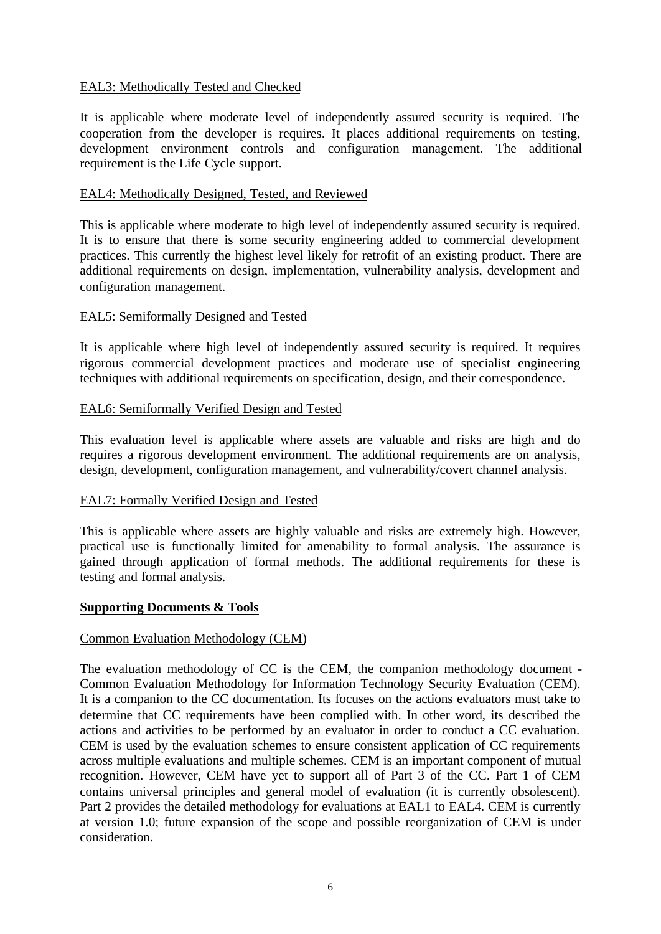## EAL3: Methodically Tested and Checked

It is applicable where moderate level of independently assured security is required. The cooperation from the developer is requires. It places additional requirements on testing, development environment controls and configuration management. The additional requirement is the Life Cycle support.

## EAL4: Methodically Designed, Tested, and Reviewed

This is applicable where moderate to high level of independently assured security is required. It is to ensure that there is some security engineering added to commercial development practices. This currently the highest level likely for retrofit of an existing product. There are additional requirements on design, implementation, vulnerability analysis, development and configuration management.

## EAL5: Semiformally Designed and Tested

It is applicable where high level of independently assured security is required. It requires rigorous commercial development practices and moderate use of specialist engineering techniques with additional requirements on specification, design, and their correspondence.

## EAL6: Semiformally Verified Design and Tested

This evaluation level is applicable where assets are valuable and risks are high and do requires a rigorous development environment. The additional requirements are on analysis, design, development, configuration management, and vulnerability/covert channel analysis.

## EAL7: Formally Verified Design and Tested

This is applicable where assets are highly valuable and risks are extremely high. However, practical use is functionally limited for amenability to formal analysis. The assurance is gained through application of formal methods. The additional requirements for these is testing and formal analysis.

## **Supporting Documents & Tools**

## Common Evaluation Methodology (CEM)

The evaluation methodology of CC is the CEM, the companion methodology document - Common Evaluation Methodology for Information Technology Security Evaluation (CEM). It is a companion to the CC documentation. Its focuses on the actions evaluators must take to determine that CC requirements have been complied with. In other word, its described the actions and activities to be performed by an evaluator in order to conduct a CC evaluation. CEM is used by the evaluation schemes to ensure consistent application of CC requirements across multiple evaluations and multiple schemes. CEM is an important component of mutual recognition. However, CEM have yet to support all of Part 3 of the CC. Part 1 of CEM contains universal principles and general model of evaluation (it is currently obsolescent). Part 2 provides the detailed methodology for evaluations at EAL1 to EAL4. CEM is currently at version 1.0; future expansion of the scope and possible reorganization of CEM is under consideration.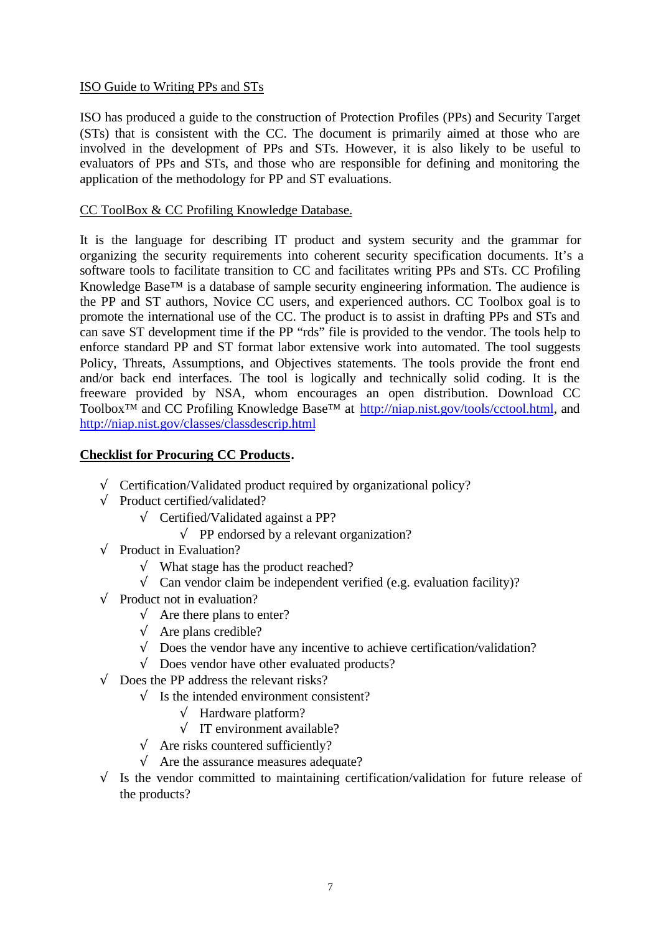# ISO Guide to Writing PPs and STs

ISO has produced a guide to the construction of Protection Profiles (PPs) and Security Target (STs) that is consistent with the CC. The document is primarily aimed at those who are involved in the development of PPs and STs. However, it is also likely to be useful to evaluators of PPs and STs, and those who are responsible for defining and monitoring the application of the methodology for PP and ST evaluations.

## CC ToolBox & CC Profiling Knowledge Database.

It is the language for describing IT product and system security and the grammar for organizing the security requirements into coherent security specification documents. It's a software tools to facilitate transition to CC and facilitates writing PPs and STs. CC Profiling Knowledge Base™ is a database of sample security engineering information. The audience is the PP and ST authors, Novice CC users, and experienced authors. CC Toolbox goal is to promote the international use of the CC. The product is to assist in drafting PPs and STs and can save ST development time if the PP "rds" file is provided to the vendor. The tools help to enforce standard PP and ST format labor extensive work into automated. The tool suggests Policy, Threats, Assumptions, and Objectives statements. The tools provide the front end and/or back end interfaces. The tool is logically and technically solid coding. It is the freeware provided by NSA, whom encourages an open distribution. Download CC Toolbox™ and CC Profiling Knowledge Base™ at http://niap.nist.gov/tools/cctool.html, and http://niap.nist.gov/classes/classdescrip.html

## **Checklist for Procuring CC Products.**

- √ Certification/Validated product required by organizational policy?
- $\sqrt{\phantom{a}}$  Product certified/validated?
	- √ Certified/Validated against a PP?
		- $\sqrt{ }$  PP endorsed by a relevant organization?
- $\sqrt{\phantom{a}}$  Product in Evaluation?
	- √ What stage has the product reached?
	- $\sqrt{\frac{1}{\pi}}$  Can vendor claim be independent verified (e.g. evaluation facility)?
- $\sqrt{\phantom{a}}$  Product not in evaluation?
	- $\sqrt{\phantom{a}}$  Are there plans to enter?
	- $\sqrt{\phantom{a}}$  Are plans credible?
	- $\sqrt{\phantom{a}}$  Does the vendor have any incentive to achieve certification/validation?
	- √ Does vendor have other evaluated products?
- $\sqrt{\phantom{a}}$  Does the PP address the relevant risks?
	- $\sqrt{\phantom{a}}$  Is the intended environment consistent?
		- $\sqrt{\phantom{a}}$  Hardware platform?
		- $\sqrt{\ }$  IT environment available?
		- $\sqrt{\phantom{a}}$  Are risks countered sufficiently?
		- $\sqrt{\phantom{a}}$  Are the assurance measures adequate?
- $\sqrt{\phantom{a}}$  Is the vendor committed to maintaining certification/validation for future release of the products?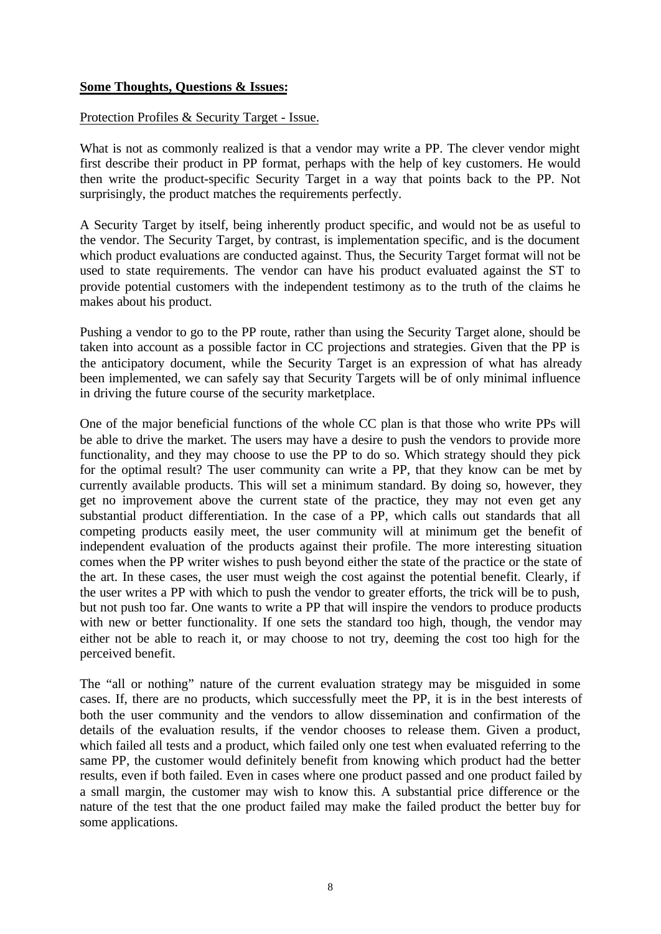## **Some Thoughts, Questions & Issues:**

### Protection Profiles & Security Target - Issue.

What is not as commonly realized is that a vendor may write a PP. The clever vendor might first describe their product in PP format, perhaps with the help of key customers. He would then write the product-specific Security Target in a way that points back to the PP. Not surprisingly, the product matches the requirements perfectly.

A Security Target by itself, being inherently product specific, and would not be as useful to the vendor. The Security Target, by contrast, is implementation specific, and is the document which product evaluations are conducted against. Thus, the Security Target format will not be used to state requirements. The vendor can have his product evaluated against the ST to provide potential customers with the independent testimony as to the truth of the claims he makes about his product.

Pushing a vendor to go to the PP route, rather than using the Security Target alone, should be taken into account as a possible factor in CC projections and strategies. Given that the PP is the anticipatory document, while the Security Target is an expression of what has already been implemented, we can safely say that Security Targets will be of only minimal influence in driving the future course of the security marketplace.

One of the major beneficial functions of the whole CC plan is that those who write PPs will be able to drive the market. The users may have a desire to push the vendors to provide more functionality, and they may choose to use the PP to do so. Which strategy should they pick for the optimal result? The user community can write a PP, that they know can be met by currently available products. This will set a minimum standard. By doing so, however, they get no improvement above the current state of the practice, they may not even get any substantial product differentiation. In the case of a PP, which calls out standards that all competing products easily meet, the user community will at minimum get the benefit of independent evaluation of the products against their profile. The more interesting situation comes when the PP writer wishes to push beyond either the state of the practice or the state of the art. In these cases, the user must weigh the cost against the potential benefit. Clearly, if the user writes a PP with which to push the vendor to greater efforts, the trick will be to push, but not push too far. One wants to write a PP that will inspire the vendors to produce products with new or better functionality. If one sets the standard too high, though, the vendor may either not be able to reach it, or may choose to not try, deeming the cost too high for the perceived benefit.

The "all or nothing" nature of the current evaluation strategy may be misguided in some cases. If, there are no products, which successfully meet the PP, it is in the best interests of both the user community and the vendors to allow dissemination and confirmation of the details of the evaluation results, if the vendor chooses to release them. Given a product, which failed all tests and a product, which failed only one test when evaluated referring to the same PP, the customer would definitely benefit from knowing which product had the better results, even if both failed. Even in cases where one product passed and one product failed by a small margin, the customer may wish to know this. A substantial price difference or the nature of the test that the one product failed may make the failed product the better buy for some applications.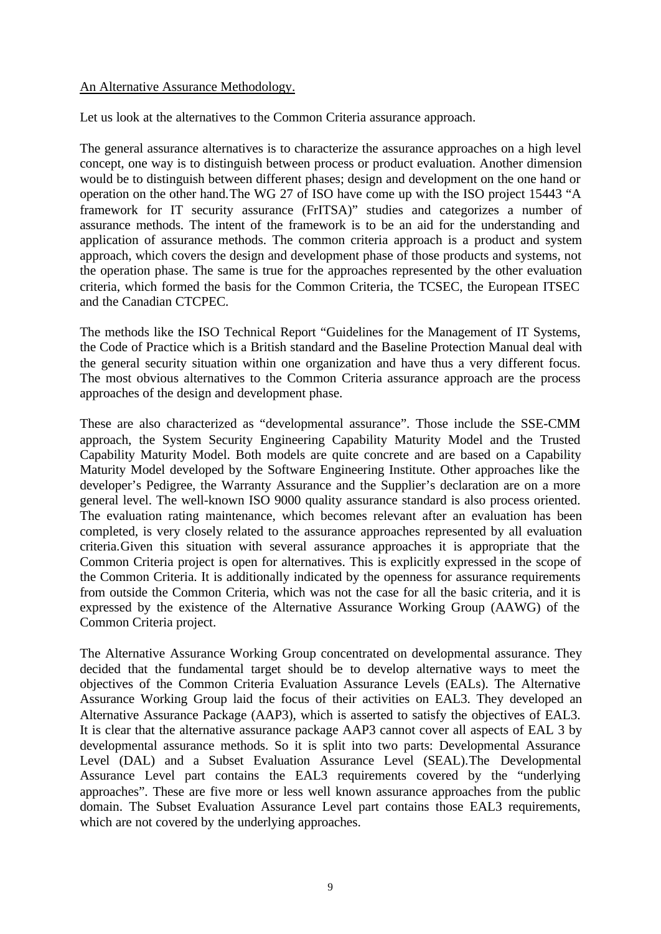## An Alternative Assurance Methodology.

Let us look at the alternatives to the Common Criteria assurance approach.

The general assurance alternatives is to characterize the assurance approaches on a high level concept, one way is to distinguish between process or product evaluation. Another dimension would be to distinguish between different phases; design and development on the one hand or operation on the other hand.The WG 27 of ISO have come up with the ISO project 15443 "A framework for IT security assurance (FrITSA)" studies and categorizes a number of assurance methods. The intent of the framework is to be an aid for the understanding and application of assurance methods. The common criteria approach is a product and system approach, which covers the design and development phase of those products and systems, not the operation phase. The same is true for the approaches represented by the other evaluation criteria, which formed the basis for the Common Criteria, the TCSEC, the European ITSEC and the Canadian CTCPEC.

The methods like the ISO Technical Report "Guidelines for the Management of IT Systems, the Code of Practice which is a British standard and the Baseline Protection Manual deal with the general security situation within one organization and have thus a very different focus. The most obvious alternatives to the Common Criteria assurance approach are the process approaches of the design and development phase.

These are also characterized as "developmental assurance". Those include the SSE-CMM approach, the System Security Engineering Capability Maturity Model and the Trusted Capability Maturity Model. Both models are quite concrete and are based on a Capability Maturity Model developed by the Software Engineering Institute. Other approaches like the developer's Pedigree, the Warranty Assurance and the Supplier's declaration are on a more general level. The well-known ISO 9000 quality assurance standard is also process oriented. The evaluation rating maintenance, which becomes relevant after an evaluation has been completed, is very closely related to the assurance approaches represented by all evaluation criteria.Given this situation with several assurance approaches it is appropriate that the Common Criteria project is open for alternatives. This is explicitly expressed in the scope of the Common Criteria. It is additionally indicated by the openness for assurance requirements from outside the Common Criteria, which was not the case for all the basic criteria, and it is expressed by the existence of the Alternative Assurance Working Group (AAWG) of the Common Criteria project.

The Alternative Assurance Working Group concentrated on developmental assurance. They decided that the fundamental target should be to develop alternative ways to meet the objectives of the Common Criteria Evaluation Assurance Levels (EALs). The Alternative Assurance Working Group laid the focus of their activities on EAL3. They developed an Alternative Assurance Package (AAP3), which is asserted to satisfy the objectives of EAL3. It is clear that the alternative assurance package AAP3 cannot cover all aspects of EAL 3 by developmental assurance methods. So it is split into two parts: Developmental Assurance Level (DAL) and a Subset Evaluation Assurance Level (SEAL).The Developmental Assurance Level part contains the EAL3 requirements covered by the "underlying approaches". These are five more or less well known assurance approaches from the public domain. The Subset Evaluation Assurance Level part contains those EAL3 requirements, which are not covered by the underlying approaches.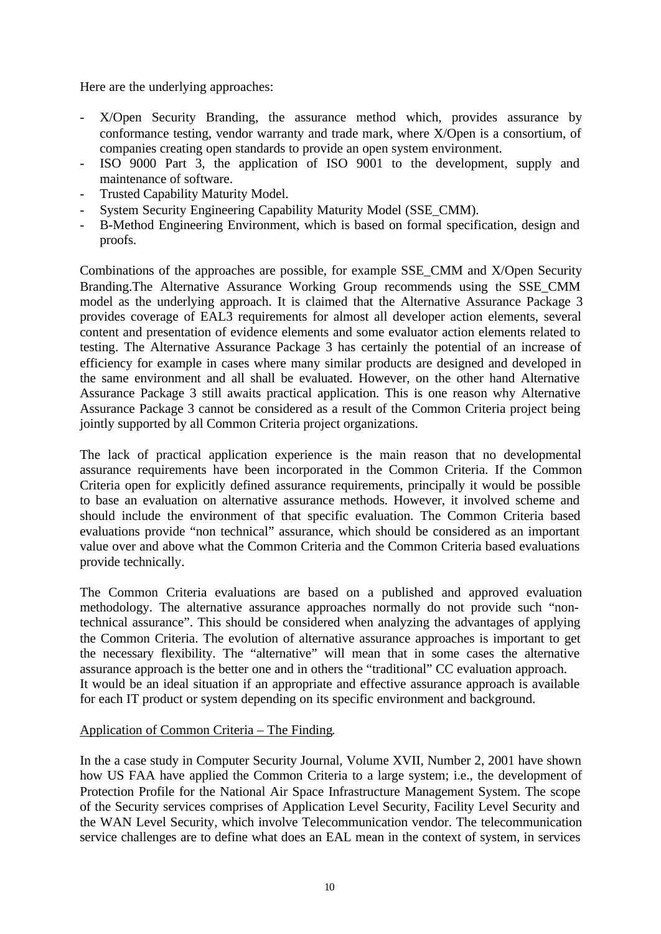Here are the underlying approaches:

- X/Open Security Branding, the assurance method which, provides assurance by conformance testing, vendor warranty and trade mark, where X/Open is a consortium, of companies creating open standards to provide an open system environment.
- ISO 9000 Part 3, the application of ISO 9001 to the development, supply and maintenance of software.
- Trusted Capability Maturity Model.
- System Security Engineering Capability Maturity Model (SSE\_CMM).
- B-Method Engineering Environment, which is based on formal specification, design and proofs.

Combinations of the approaches are possible, for example SSE\_CMM and X/Open Security Branding.The Alternative Assurance Working Group recommends using the SSE\_CMM model as the underlying approach. It is claimed that the Alternative Assurance Package 3 provides coverage of EAL3 requirements for almost all developer action elements, several content and presentation of evidence elements and some evaluator action elements related to testing. The Alternative Assurance Package 3 has certainly the potential of an increase of efficiency for example in cases where many similar products are designed and developed in the same environment and all shall be evaluated. However, on the other hand Alternative Assurance Package 3 still awaits practical application. This is one reason why Alternative Assurance Package 3 cannot be considered as a result of the Common Criteria project being jointly supported by all Common Criteria project organizations.

The lack of practical application experience is the main reason that no developmental assurance requirements have been incorporated in the Common Criteria. If the Common Criteria open for explicitly defined assurance requirements, principally it would be possible to base an evaluation on alternative assurance methods. However, it involved scheme and should include the environment of that specific evaluation. The Common Criteria based evaluations provide "non technical" assurance, which should be considered as an important value over and above what the Common Criteria and the Common Criteria based evaluations provide technically.

The Common Criteria evaluations are based on a published and approved evaluation methodology. The alternative assurance approaches normally do not provide such "nontechnical assurance". This should be considered when analyzing the advantages of applying the Common Criteria. The evolution of alternative assurance approaches is important to get the necessary flexibility. The "alternative" will mean that in some cases the alternative assurance approach is the better one and in others the "traditional" CC evaluation approach. It would be an ideal situation if an appropriate and effective assurance approach is available for each IT product or system depending on its specific environment and background.

## Application of Common Criteria – The Finding.

In the a case study in Computer Security Journal, Volume XVII, Number 2, 2001 have shown how US FAA have applied the Common Criteria to a large system; i.e., the development of Protection Profile for the National Air Space Infrastructure Management System. The scope of the Security services comprises of Application Level Security, Facility Level Security and the WAN Level Security, which involve Telecommunication vendor. The telecommunication service challenges are to define what does an EAL mean in the context of system, in services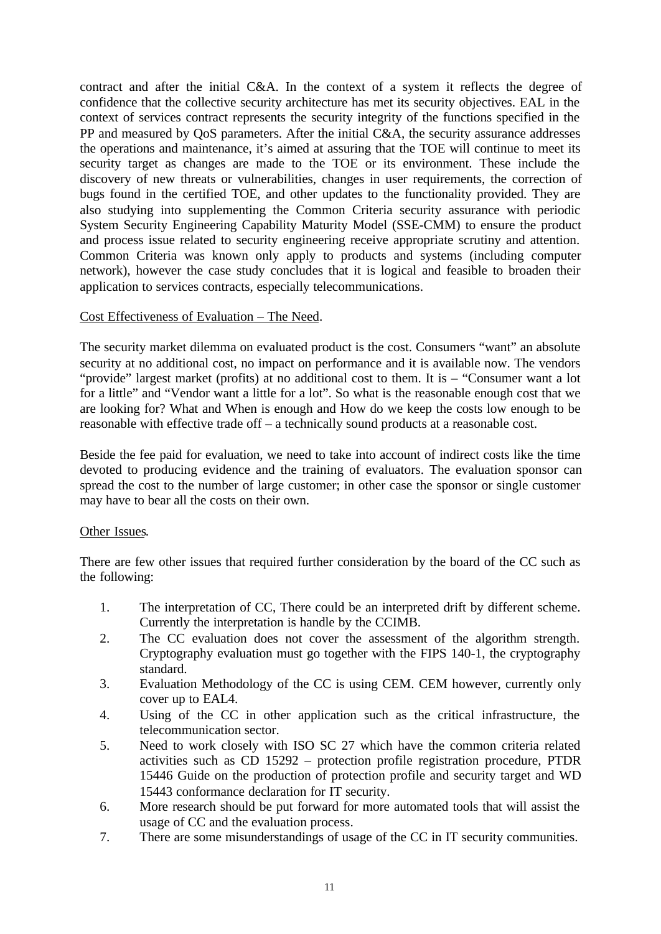contract and after the initial C&A. In the context of a system it reflects the degree of confidence that the collective security architecture has met its security objectives. EAL in the context of services contract represents the security integrity of the functions specified in the PP and measured by QoS parameters. After the initial C&A, the security assurance addresses the operations and maintenance, it's aimed at assuring that the TOE will continue to meet its security target as changes are made to the TOE or its environment. These include the discovery of new threats or vulnerabilities, changes in user requirements, the correction of bugs found in the certified TOE, and other updates to the functionality provided. They are also studying into supplementing the Common Criteria security assurance with periodic System Security Engineering Capability Maturity Model (SSE-CMM) to ensure the product and process issue related to security engineering receive appropriate scrutiny and attention. Common Criteria was known only apply to products and systems (including computer network), however the case study concludes that it is logical and feasible to broaden their application to services contracts, especially telecommunications.

## Cost Effectiveness of Evaluation – The Need.

The security market dilemma on evaluated product is the cost. Consumers "want" an absolute security at no additional cost, no impact on performance and it is available now. The vendors "provide" largest market (profits) at no additional cost to them. It is – "Consumer want a lot for a little" and "Vendor want a little for a lot". So what is the reasonable enough cost that we are looking for? What and When is enough and How do we keep the costs low enough to be reasonable with effective trade off – a technically sound products at a reasonable cost.

Beside the fee paid for evaluation, we need to take into account of indirect costs like the time devoted to producing evidence and the training of evaluators. The evaluation sponsor can spread the cost to the number of large customer; in other case the sponsor or single customer may have to bear all the costs on their own.

#### Other Issues.

There are few other issues that required further consideration by the board of the CC such as the following:

- 1. The interpretation of CC, There could be an interpreted drift by different scheme. Currently the interpretation is handle by the CCIMB.
- 2. The CC evaluation does not cover the assessment of the algorithm strength. Cryptography evaluation must go together with the FIPS 140-1, the cryptography standard.
- 3. Evaluation Methodology of the CC is using CEM. CEM however, currently only cover up to EAL4.
- 4. Using of the CC in other application such as the critical infrastructure, the telecommunication sector.
- 5. Need to work closely with ISO SC 27 which have the common criteria related activities such as CD 15292 – protection profile registration procedure, PTDR 15446 Guide on the production of protection profile and security target and WD 15443 conformance declaration for IT security.
- 6. More research should be put forward for more automated tools that will assist the usage of CC and the evaluation process.
- 7. There are some misunderstandings of usage of the CC in IT security communities.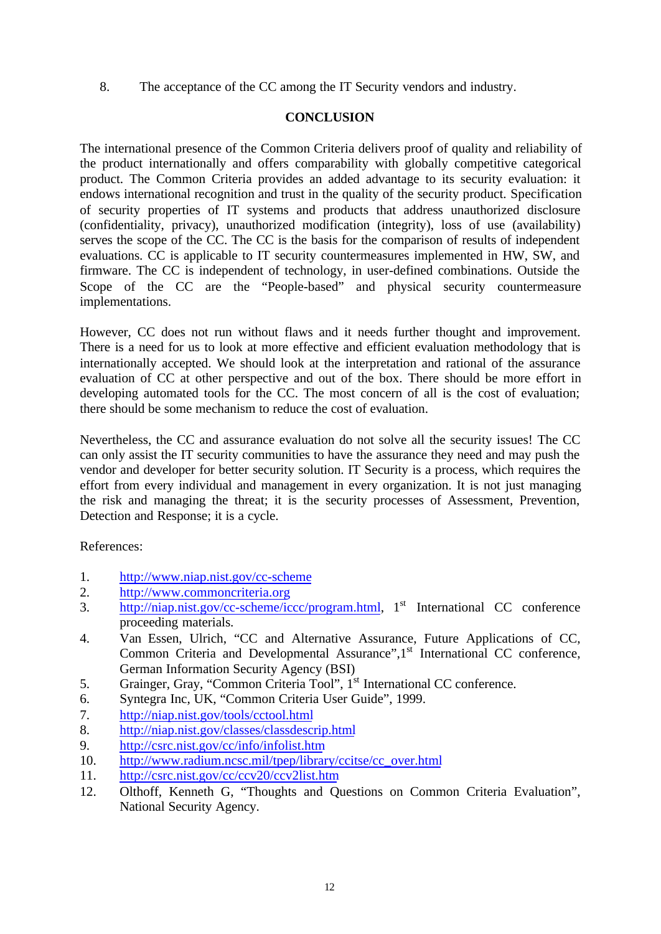8. The acceptance of the CC among the IT Security vendors and industry.

# **CONCLUSION**

The international presence of the Common Criteria delivers proof of quality and reliability of the product internationally and offers comparability with globally competitive categorical product. The Common Criteria provides an added advantage to its security evaluation: it endows international recognition and trust in the quality of the security product. Specification of security properties of IT systems and products that address unauthorized disclosure (confidentiality, privacy), unauthorized modification (integrity), loss of use (availability) serves the scope of the CC. The CC is the basis for the comparison of results of independent evaluations. CC is applicable to IT security countermeasures implemented in HW, SW, and firmware. The CC is independent of technology, in user-defined combinations. Outside the Scope of the CC are the "People-based" and physical security countermeasure implementations.

However, CC does not run without flaws and it needs further thought and improvement. There is a need for us to look at more effective and efficient evaluation methodology that is internationally accepted. We should look at the interpretation and rational of the assurance evaluation of CC at other perspective and out of the box. There should be more effort in developing automated tools for the CC. The most concern of all is the cost of evaluation; there should be some mechanism to reduce the cost of evaluation.

Nevertheless, the CC and assurance evaluation do not solve all the security issues! The CC can only assist the IT security communities to have the assurance they need and may push the vendor and developer for better security solution. IT Security is a process, which requires the effort from every individual and management in every organization. It is not just managing the risk and managing the threat; it is the security processes of Assessment, Prevention, Detection and Response; it is a cycle.

References:

- 1. http://www.niap.nist.gov/cc-scheme
- 2. http://www.commoncriteria.org
- 3. http://niap.nist.gov/cc-scheme/iccc/program.html, 1<sup>st</sup> International CC conference proceeding materials.
- 4. Van Essen, Ulrich, "CC and Alternative Assurance, Future Applications of CC, Common Criteria and Developmental Assurance",1<sup>st</sup> International CC conference, German Information Security Agency (BSI)
- 5. Grainger, Gray, "Common Criteria Tool", 1<sup>st</sup> International CC conference.
- 6. Syntegra Inc, UK, "Common Criteria User Guide", 1999.
- 7. http://niap.nist.gov/tools/cctool.html
- 8. http://niap.nist.gov/classes/classdescrip.html
- 9. http://csrc.nist.gov/cc/info/infolist.htm
- 10. http://www.radium.ncsc.mil/tpep/library/ccitse/cc\_over.html
- 11. http://csrc.nist.gov/cc/ccv20/ccv2list.htm
- 12. Olthoff, Kenneth G, "Thoughts and Questions on Common Criteria Evaluation", National Security Agency.